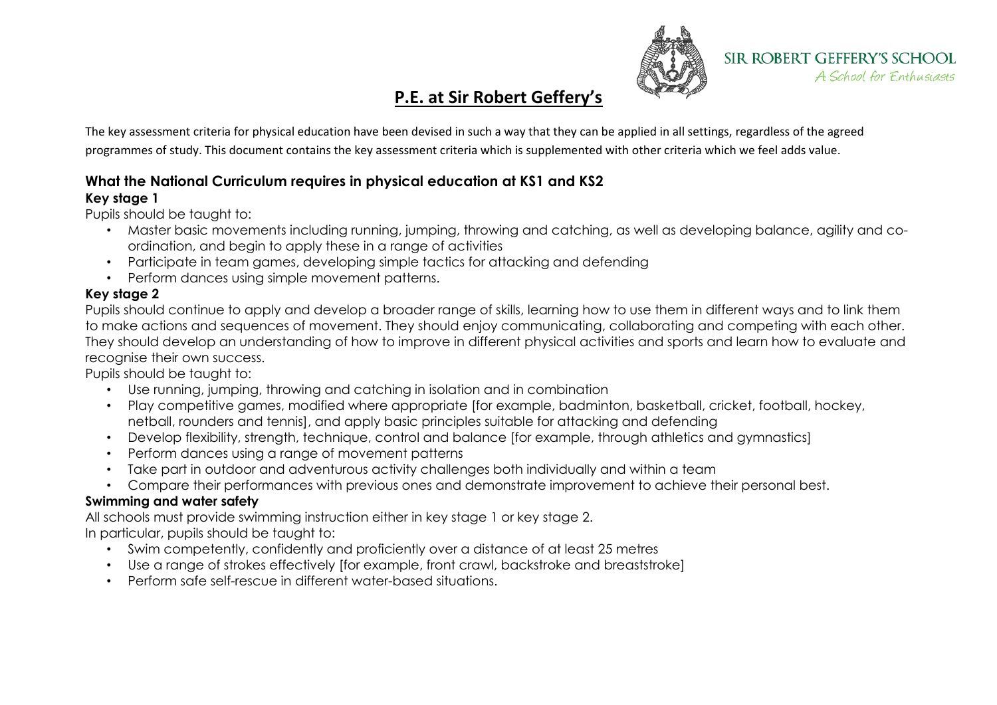

# **P.E. at Sir Robert Geffery's**

The key assessment criteria for physical education have been devised in such a way that they can be applied in all settings, regardless of the agreed programmes of study. This document contains the key assessment criteria which is supplemented with other criteria which we feel adds value.

# **What the National Curriculum requires in physical education at KS1 and KS2**

## **Key stage 1**

Pupils should be taught to:

- Master basic movements including running, jumping, throwing and catching, as well as developing balance, agility and coordination, and begin to apply these in a range of activities
- Participate in team games, developing simple tactics for attacking and defending
- Perform dances using simple movement patterns.

## **Key stage 2**

Pupils should continue to apply and develop a broader range of skills, learning how to use them in different ways and to link them to make actions and sequences of movement. They should enjoy communicating, collaborating and competing with each other. They should develop an understanding of how to improve in different physical activities and sports and learn how to evaluate and recognise their own success.

Pupils should be taught to:

- Use running, jumping, throwing and catching in isolation and in combination
- Play competitive games, modified where appropriate [for example, badminton, basketball, cricket, football, hockey, netball, rounders and tennis], and apply basic principles suitable for attacking and defending
- Develop flexibility, strength, technique, control and balance [for example, through athletics and gymnastics]
- Perform dances using a range of movement patterns
- Take part in outdoor and adventurous activity challenges both individually and within a team
- Compare their performances with previous ones and demonstrate improvement to achieve their personal best.

# **Swimming and water safety**

All schools must provide swimming instruction either in key stage 1 or key stage 2. In particular, pupils should be taught to:

- Swim competently, confidently and proficiently over a distance of at least 25 metres
- Use a range of strokes effectively [for example, front crawl, backstroke and breaststroke]
- Perform safe self-rescue in different water-based situations.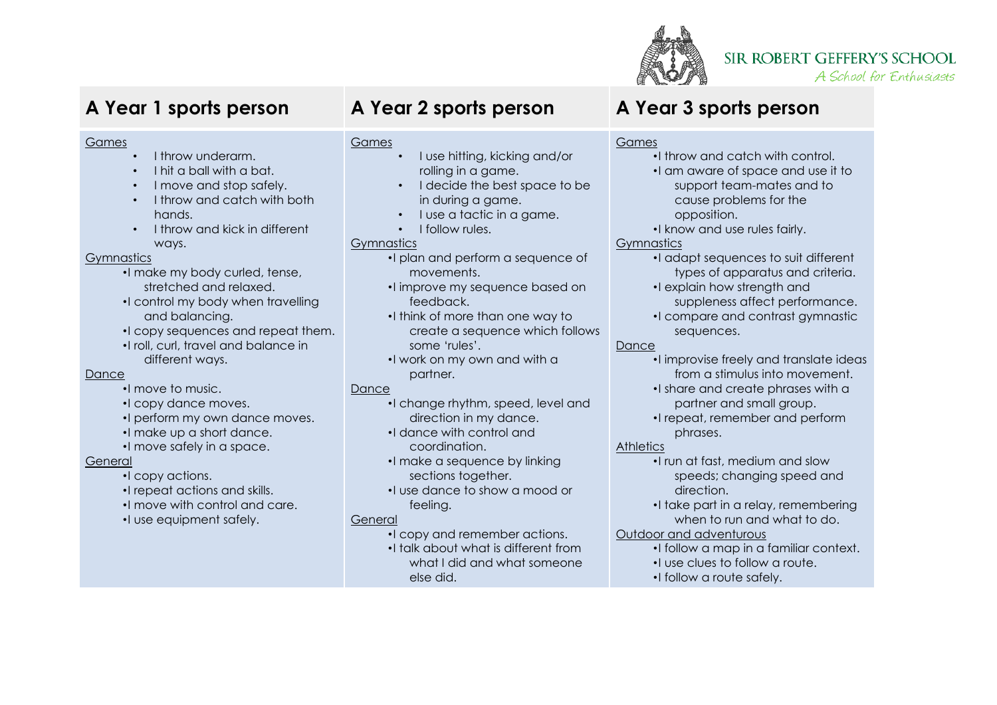

# **SIR ROBERT GEFFERY'S SCHOOL**

A School for Enthusiasts

### Games

- I throw underarm.
- I hit a ball with a bat.
- I move and stop safely.
- I throw and catch with both hands.
- I throw and kick in different ways.

### Gymnastics

- •I make my body curled, tense, stretched and relaxed.
- •I control my body when travelling and balancing.
- •I copy sequences and repeat them.
- •I roll, curl, travel and balance in different ways.

### **Dance**

- •I move to music.
- •I copy dance moves.
- •I perform my own dance moves.
- •I make up a short dance.
- •I move safely in a space.

### General

- •I copy actions.
- •I repeat actions and skills.
- •I move with control and care.
- •I use equipment safely.

# **A Year 1 sports person A Year 2 sports person A Year 3 sports person**

### Games

- I use hitting, kicking and/or rolling in a game.
- I decide the best space to be in during a game.
- I use a tactic in a game.
- I follow rules.

### **Gymnastics**

- •I plan and perform a sequence of movements.
- •I improve my sequence based on feedback.
- •I think of more than one way to create a sequence which follows some 'rules'.
- •I work on my own and with a partner.

### Dance

- •I change rhythm, speed, level and direction in my dance.
- •I dance with control and coordination.
- •I make a sequence by linking sections together.
- •I use dance to show a mood or feeling.

### General

- •I copy and remember actions.
- •I talk about what is different from what I did and what someone else did.

## Games

- •I throw and catch with control.
- •I am aware of space and use it to support team-mates and to cause problems for the opposition.
- •I know and use rules fairly.

## **Gymnastics**

- •I adapt sequences to suit different types of apparatus and criteria.
- •I explain how strength and
	- suppleness affect performance.
- •I compare and contrast gymnastic sequences.

### Dance

- •I improvise freely and translate ideas from a stimulus into movement.
- •I share and create phrases with a partner and small group.
- •I repeat, remember and perform phrases.

### **Athletics**

- •I run at fast, medium and slow speeds; changing speed and direction.
- •I take part in a relay, remembering when to run and what to do.

### Outdoor and adventurous

- •I follow a map in a familiar context.
- •I use clues to follow a route.
- •I follow a route safely.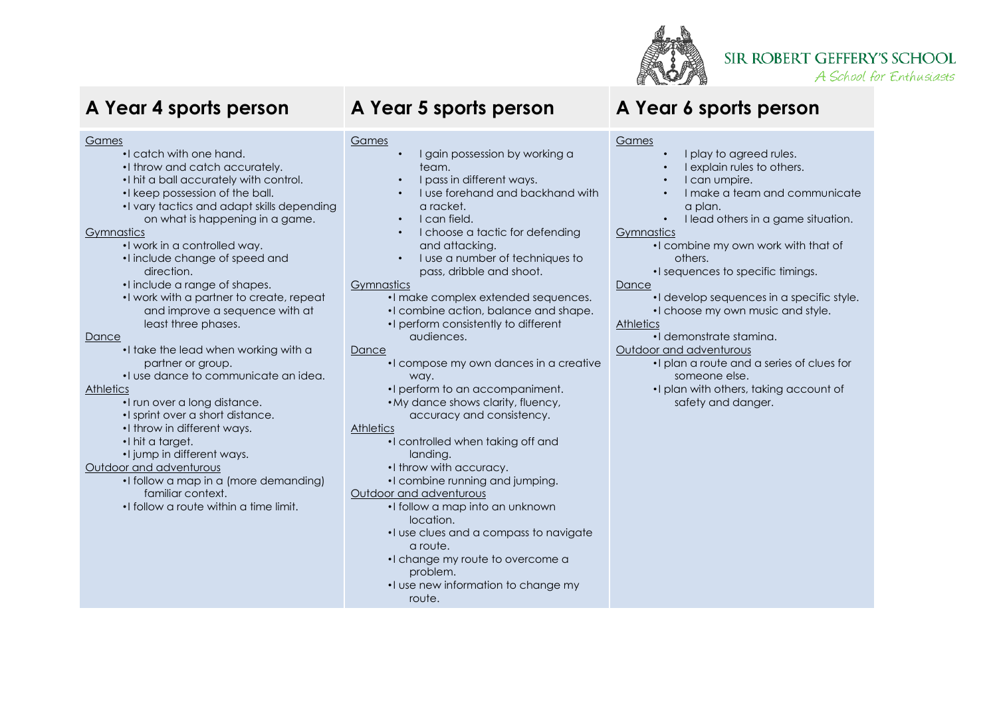

# **SIR ROBERT GEFFERY'S SCHOOL**

A School for Enthusiasts

#### Games

- •I catch with one hand.
- •I throw and catch accurately.
- •I hit a ball accurately with control.
- •I keep possession of the ball.
- •I vary tactics and adapt skills depending on what is happening in a game.

### **Gymnastics**

- •I work in a controlled way.
- •I include change of speed and direction.
- •I include a range of shapes.
- •I work with a partner to create, repeat and improve a sequence with at least three phases.

### Dance

- •I take the lead when working with a partner or group.
- •I use dance to communicate an idea.

### **Athletics**

- •I run over a long distance.
- •I sprint over a short distance.
- •I throw in different ways.
- •I hit a target.
- •I jump in different ways.

### Outdoor and adventurous

- •I follow a map in a (more demanding) familiar context.
- •I follow a route within a time limit.

# **A Year 4 sports person A Year 5 sports person A Year 6 sports person**

### Games

- I gain possession by working a team.
- I pass in different ways.
- I use forehand and backhand with a racket.
- I can field.
- I choose a tactic for defending and attacking.
- I use a number of techniques to pass, dribble and shoot.

### **Gymnastics**

- •I make complex extended sequences.
- •I combine action, balance and shape. •I perform consistently to different audiences.

### Dance

- •I compose my own dances in a creative way.
- •I perform to an accompaniment.
- •My dance shows clarity, fluency, accuracy and consistency.

### **Athletics**

- •I controlled when taking off and landing.
- •I throw with accuracy.
- •I combine running and jumping.

### Outdoor and adventurous

- •I follow a map into an unknown location.
- •I use clues and a compass to navigate a route.
- •I change my route to overcome a problem.
- •I use new information to change my route.

### Games

- I play to agreed rules.
- I explain rules to others.
- I can umpire.
- I make a team and communicate a plan.
- I lead others in a game situation.

### **Gymnastics**

- •I combine my own work with that of others.
	- •I sequences to specific timings.

### Dance

- •I develop sequences in a specific style.
- •I choose my own music and style.

### **Athletics**

- •I demonstrate stamina.
- Outdoor and adventurous
	- •I plan a route and a series of clues for someone else.
	- •I plan with others, taking account of safety and danger.